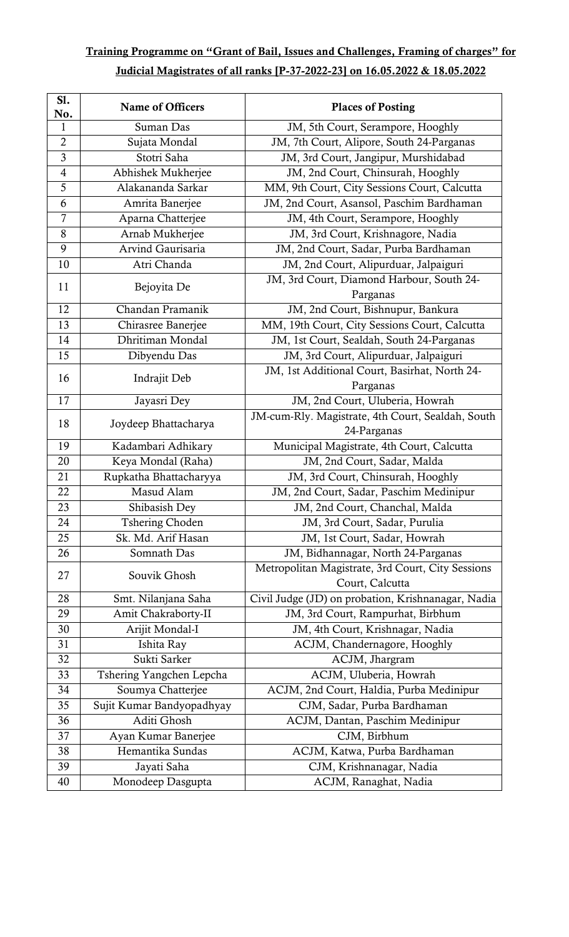## **Training Programme on "Grant of Bail, Issues and Challenges, Framing of charges" for Judicial Magistrates of all ranks [P-37-2022-23] on 16.05.2022 & 18.05.2022**

| S1.<br>No.     | <b>Name of Officers</b>   | <b>Places of Posting</b>                                             |  |
|----------------|---------------------------|----------------------------------------------------------------------|--|
| $\mathbf{1}$   | Suman Das                 | JM, 5th Court, Serampore, Hooghly                                    |  |
| $\overline{2}$ | Sujata Mondal             | JM, 7th Court, Alipore, South 24-Parganas                            |  |
| 3              | Stotri Saha               | JM, 3rd Court, Jangipur, Murshidabad                                 |  |
| 4              | Abhishek Mukherjee        | JM, 2nd Court, Chinsurah, Hooghly                                    |  |
| 5              | Alakananda Sarkar         | MM, 9th Court, City Sessions Court, Calcutta                         |  |
| 6              | Amrita Banerjee           | JM, 2nd Court, Asansol, Paschim Bardhaman                            |  |
| 7              | Aparna Chatterjee         | JM, 4th Court, Serampore, Hooghly                                    |  |
| 8              | Arnab Mukherjee           | JM, 3rd Court, Krishnagore, Nadia                                    |  |
| 9              | Arvind Gaurisaria         | JM, 2nd Court, Sadar, Purba Bardhaman                                |  |
| 10             | Atri Chanda               | JM, 2nd Court, Alipurduar, Jalpaiguri                                |  |
| 11             | Bejoyita De               | JM, 3rd Court, Diamond Harbour, South 24-<br>Parganas                |  |
| 12             | Chandan Pramanik          | JM, 2nd Court, Bishnupur, Bankura                                    |  |
| 13             | Chirasree Banerjee        | MM, 19th Court, City Sessions Court, Calcutta                        |  |
| 14             | Dhritiman Mondal          | JM, 1st Court, Sealdah, South 24-Parganas                            |  |
| 15             | Dibyendu Das              | JM, 3rd Court, Alipurduar, Jalpaiguri                                |  |
| 16             | Indrajit Deb              | JM, 1st Additional Court, Basirhat, North 24-<br>Parganas            |  |
| 17             | Jayasri Dey               | JM, 2nd Court, Uluberia, Howrah                                      |  |
| 18             | Joydeep Bhattacharya      | JM-cum-Rly. Magistrate, 4th Court, Sealdah, South<br>24-Parganas     |  |
| 19             | Kadambari Adhikary        | Municipal Magistrate, 4th Court, Calcutta                            |  |
| 20             | Keya Mondal (Raha)        | JM, 2nd Court, Sadar, Malda                                          |  |
| 21             | Rupkatha Bhattacharyya    | JM, 3rd Court, Chinsurah, Hooghly                                    |  |
| 22             | Masud Alam                | JM, 2nd Court, Sadar, Paschim Medinipur                              |  |
| 23             | Shibasish Dey             | JM, 2nd Court, Chanchal, Malda                                       |  |
| 24             | <b>Tshering Choden</b>    | JM, 3rd Court, Sadar, Purulia                                        |  |
| 25             | Sk. Md. Arif Hasan        | JM, 1st Court, Sadar, Howrah                                         |  |
| 26             | Somnath Das               | JM, Bidhannagar, North 24-Parganas                                   |  |
| 27             | Souvik Ghosh              | Metropolitan Magistrate, 3rd Court, City Sessions<br>Court, Calcutta |  |
| 28             | Smt. Nilanjana Saha       | Civil Judge (JD) on probation, Krishnanagar, Nadia                   |  |
| 29             | Amit Chakraborty-II       | JM, 3rd Court, Rampurhat, Birbhum                                    |  |
| 30             | Arijit Mondal-I           | JM, 4th Court, Krishnagar, Nadia                                     |  |
| 31             | Ishita Ray                | ACJM, Chandernagore, Hooghly                                         |  |
| 32             | Sukti Sarker              | ACJM, Jhargram                                                       |  |
| 33             | Tshering Yangchen Lepcha  | ACJM, Uluberia, Howrah                                               |  |
| 34             | Soumya Chatterjee         | ACJM, 2nd Court, Haldia, Purba Medinipur                             |  |
| 35             | Sujit Kumar Bandyopadhyay | CJM, Sadar, Purba Bardhaman                                          |  |
| 36             | Aditi Ghosh               | ACJM, Dantan, Paschim Medinipur                                      |  |
| 37             | Ayan Kumar Banerjee       | CJM, Birbhum                                                         |  |
| 38             | Hemantika Sundas          | ACJM, Katwa, Purba Bardhaman                                         |  |
| 39             | Jayati Saha               | CJM, Krishnanagar, Nadia                                             |  |
| 40             | Monodeep Dasgupta         | ACJM, Ranaghat, Nadia                                                |  |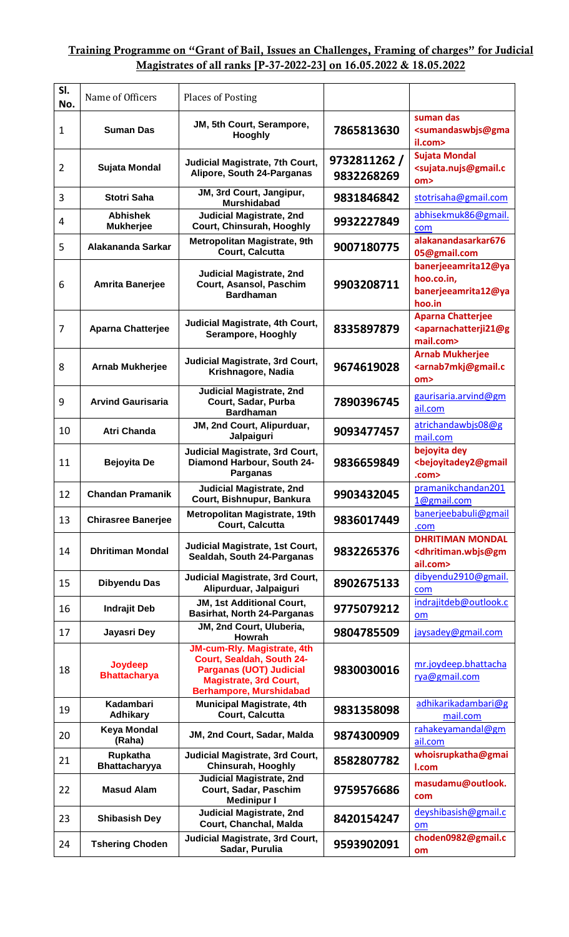## **Training Programme on "Grant of Bail, Issues an Challenges, Framing of charges" for Judicial Magistrates of all ranks [P-37-2022-23] on 16.05.2022 & 18.05.2022**

| SI.<br>No.     | Name of Officers                    | <b>Places of Posting</b>                                                                                                                                             |                           |                                                                                           |
|----------------|-------------------------------------|----------------------------------------------------------------------------------------------------------------------------------------------------------------------|---------------------------|-------------------------------------------------------------------------------------------|
| $\mathbf{1}$   | <b>Suman Das</b>                    | JM, 5th Court, Serampore,<br>Hooghly                                                                                                                                 | 7865813630                | suman das<br><sumandaswbjs@gma<br>il.com&gt;</sumandaswbjs@gma<br>                        |
| $\overline{2}$ | Sujata Mondal                       | Judicial Magistrate, 7th Court,<br>Alipore, South 24-Parganas                                                                                                        | 9732811262/<br>9832268269 | <b>Sujata Mondal</b><br><sujata.nujs@gmail.c<br>om&gt;</sujata.nujs@gmail.c<br>           |
| 3              | <b>Stotri Saha</b>                  | JM, 3rd Court, Jangipur,<br><b>Murshidabad</b>                                                                                                                       | 9831846842                | stotrisaha@gmail.com                                                                      |
| 4              | <b>Abhishek</b><br><b>Mukherjee</b> | <b>Judicial Magistrate, 2nd</b><br>Court, Chinsurah, Hooghly                                                                                                         | 9932227849                | abhisekmuk86@gmail.<br>com                                                                |
| 5              | Alakananda Sarkar                   | Metropolitan Magistrate, 9th<br>Court, Calcutta                                                                                                                      | 9007180775                | alakanandasarkar676<br>05@gmail.com                                                       |
| 6              | Amrita Banerjee                     | <b>Judicial Magistrate, 2nd</b><br>Court, Asansol, Paschim<br><b>Bardhaman</b>                                                                                       | 9903208711                | banerjeeamrita12@ya<br>hoo.co.in,<br>banerjeeamrita12@ya<br>hoo.in                        |
| $\overline{7}$ | <b>Aparna Chatterjee</b>            | Judicial Magistrate, 4th Court,<br>Serampore, Hooghly                                                                                                                | 8335897879                | <b>Aparna Chatterjee</b><br><aparnachatterji21@g<br>mail.com&gt;</aparnachatterji21@g<br> |
| 8              | <b>Arnab Mukherjee</b>              | Judicial Magistrate, 3rd Court,<br>Krishnagore, Nadia                                                                                                                | 9674619028                | <b>Arnab Mukherjee</b><br><arnab7mkj@gmail.c<br>om&gt;</arnab7mkj@gmail.c<br>             |
| 9              | <b>Arvind Gaurisaria</b>            | <b>Judicial Magistrate, 2nd</b><br>Court, Sadar, Purba<br><b>Bardhaman</b>                                                                                           | 7890396745                | gaurisaria.arvind@gm<br>ail.com                                                           |
| 10             | <b>Atri Chanda</b>                  | JM, 2nd Court, Alipurduar,<br>Jalpaiguri                                                                                                                             | 9093477457                | atrichandawbjs08@g<br>mail.com                                                            |
| 11             | <b>Bejoyita De</b>                  | Judicial Magistrate, 3rd Court,<br>Diamond Harbour, South 24-<br>Parganas                                                                                            | 9836659849                | bejoyita dey<br><bejoyitadey2@gmail<br>.com&gt;</bejoyitadey2@gmail<br>                   |
| 12             | <b>Chandan Pramanik</b>             | <b>Judicial Magistrate, 2nd</b><br>Court, Bishnupur, Bankura                                                                                                         | 9903432045                | pramanikchandan201<br>1@gmail.com                                                         |
| 13             | <b>Chirasree Banerjee</b>           | Metropolitan Magistrate, 19th<br>Court, Calcutta                                                                                                                     | 9836017449                | banerjeebabuli@gmail<br>.com                                                              |
| 14             | <b>Dhritiman Mondal</b>             | Judicial Magistrate, 1st Court,<br>Sealdah, South 24-Parganas                                                                                                        | 9832265376                | <b>DHRITIMAN MONDAL</b><br><dhritiman.wbjs@gm<br>ail.com&gt;</dhritiman.wbjs@gm<br>       |
| 15             | Dibyendu Das                        | Judicial Magistrate, 3rd Court,<br>Alipurduar, Jalpaiguri                                                                                                            | 8902675133                | dibyendu2910@gmail.<br>com                                                                |
| 16             | <b>Indrajit Deb</b>                 | <b>JM, 1st Additional Court,</b><br><b>Basirhat, North 24-Parganas</b>                                                                                               | 9775079212                | indrajitdeb@outlook.c<br>om                                                               |
| 17             | Jayasri Dey                         | JM, 2nd Court, Uluberia,<br>Howrah                                                                                                                                   | 9804785509                | jaysadey@gmail.com                                                                        |
| 18             | Joydeep<br><b>Bhattacharya</b>      | <b>JM-cum-Rly. Magistrate, 4th</b><br>Court, Sealdah, South 24-<br><b>Parganas (UOT) Judicial</b><br><b>Magistrate, 3rd Court,</b><br><b>Berhampore, Murshidabad</b> | 9830030016                | mr.joydeep.bhattacha<br>rya@gmail.com                                                     |
| 19             | Kadambari<br>Adhikary               | <b>Municipal Magistrate, 4th</b><br>Court, Calcutta                                                                                                                  | 9831358098                | adhikarikadambari@g<br>mail.com                                                           |
| 20             | <b>Keya Mondal</b><br>(Raha)        | JM, 2nd Court, Sadar, Malda                                                                                                                                          | 9874300909                | rahakeyamandal@gm<br>ail.com                                                              |
| 21             | Rupkatha<br>Bhattacharyya           | <b>Judicial Magistrate, 3rd Court,</b><br><b>Chinsurah, Hooghly</b>                                                                                                  | 8582807782                | whoisrupkatha@gmai<br>I.com                                                               |
| 22             | <b>Masud Alam</b>                   | <b>Judicial Magistrate, 2nd</b><br>Court, Sadar, Paschim<br><b>Medinipur I</b>                                                                                       | 9759576686                | masudamu@outlook.<br>com                                                                  |
| 23             | <b>Shibasish Dey</b>                | <b>Judicial Magistrate, 2nd</b><br>Court, Chanchal, Malda                                                                                                            | 8420154247                | deyshibasish@gmail.c<br>om                                                                |
| 24             | <b>Tshering Choden</b>              | Judicial Magistrate, 3rd Court,<br>Sadar, Purulia                                                                                                                    | 9593902091                | choden0982@gmail.c<br>om                                                                  |